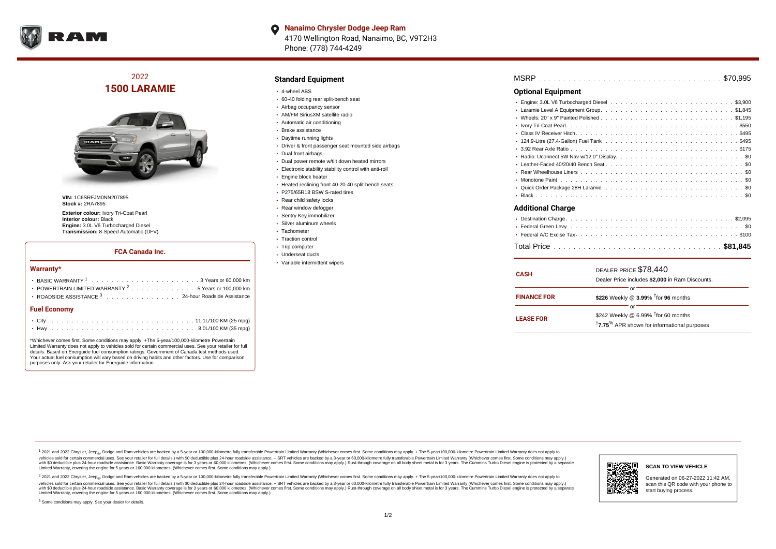

**Nanaimo Chrysler Dodge Jeep Ram**  $\bullet$ 4170 Wellington Road, Nanaimo, BC, V9T2H3 Phone: (778) 744-4249

2022 **1500 LARAMIE**



**VIN:** 1C6SRFJM0NN207895 **Stock #:** 2RA7895

**Exterior colour:** Ivory Tri-Coat Pearl **Interior colour:** Black **Engine:** 3.0L V6 Turbocharged Diesel **Transmission:** 8-Speed Automatic (DFV)

## **FCA Canada Inc.**

### **Warranty\***

| <b>Fuel Economy</b>                                              |  |  |  |  |  |  |  |  |  |  |
|------------------------------------------------------------------|--|--|--|--|--|--|--|--|--|--|
| ROADSIDE ASSISTANCE <sup>3</sup> 24-hour Roadside Assistance     |  |  |  |  |  |  |  |  |  |  |
| • POWERTRAIN LIMITED WARRANTY <sup>2</sup> 5 Years or 100,000 km |  |  |  |  |  |  |  |  |  |  |
|                                                                  |  |  |  |  |  |  |  |  |  |  |

\*Whichever comes first. Some conditions may apply. +The 5-year/100,000-kilometre Powertrain Limited Warranty does not apply to vehicles sold for certain commercial uses. See your retailer for full details. Based on Energuide fuel consumption ratings. Government of Canada test methods used. Your actual fuel consumption will vary based on driving habits and other factors. Use for comparison purposes only. Ask your retailer for Energuide information.

## **Standard Equipment**

- 4-wheel ABS
- 60-40 folding rear split-bench seat
- Airbag occupancy sensor
- AM/FM SiriusXM satellite radio
- Automatic air conditioning
- Brake assistance
- Daytime running lights
- Driver & front passenger seat mounted side airbags
- Dual front airbags
- Dual power remote w/tilt down heated mirrors
- Electronic stability stability control with anti-roll
- Engine block heater
- Heated reclining front 40-20-40 split-bench seats
- P275/65R18 BSW S-rated tires
- Rear child safety locks
- Rear window defogger
- Sentry Key immobilizer
- Silver aluminum wheels
- Tachometer
- Traction control
- Trip computer
- Underseat ducts
- Variable intermittent wipers

| <b>MSRP</b> |  |  |  |  |  |  |  |  |  |  |  |  |  |  |  |  |  |  |  |  |  |  |  |  |  |  |  |  |  |  |  |  |  |  |  |  |  |  |  |  |
|-------------|--|--|--|--|--|--|--|--|--|--|--|--|--|--|--|--|--|--|--|--|--|--|--|--|--|--|--|--|--|--|--|--|--|--|--|--|--|--|--|--|
|-------------|--|--|--|--|--|--|--|--|--|--|--|--|--|--|--|--|--|--|--|--|--|--|--|--|--|--|--|--|--|--|--|--|--|--|--|--|--|--|--|--|

## **Optional Equipment**

| Additional Charge |
|-------------------|

#### **Additional Charge**

| <b>CASH</b>        | DEALER PRICE \$78,440<br>Dealer Price includes \$2,000 in Ram Discounts.                                                     |  |  |  |  |  |  |  |  |  |
|--------------------|------------------------------------------------------------------------------------------------------------------------------|--|--|--|--|--|--|--|--|--|
| <b>FINANCE FOR</b> | or<br>\$226 Weekly @ 3.99% <sup>t</sup> for 96 months                                                                        |  |  |  |  |  |  |  |  |  |
| <b>LEASE FOR</b>   | or<br>\$242 Weekly @ 6.99% <sup>t</sup> for 60 months<br><sup>†</sup> 7.75 <sup>%</sup> APR shown for informational purposes |  |  |  |  |  |  |  |  |  |

<sup>1</sup> 2021 and 2022 Chrysler, Jeep<sub>®</sub>, Dodge and Ram vehicles are backed by a 5-year or 100,000-kilometre fully transferable Powertrain Limited Warranty (Whichever comes first. Some conditions may apply. + The 5-year/100,000 vehicles sold for certain commercial uses. See your retailer for full details.) with \$0 deductible plus 24 hour roadside assistance. + SRT vehicles are backed by a 3-year or 60,000-kilometre fully transferable Powertrain L versus and contract the mean of the contract of the contract with a contract with a contract the contract of the contract of the contract the contract of the contract of the contract of the contract of the contract of the Limited Warranty, covering the engine for 5 years or 160,000 kilometres. (Whichever comes first. Some conditions may apply.)

2 2021 and 2022 Chrysler, Jeep<sub>®</sub>, Dodge and Ram vehicles are backed by a 5-year or 100,000-kilometre fully transferable Powertrain Limited Warranty (Whichever comes first. Some conditions may apply. + The 5-year/100,000-k vehicles sold for certain commercial uses. See your retailer for full details.) with SO deductible plus 24-hour roadside assistance. + SRT vehicles are backed by a 3-year or 60.000-kilometre fully transferable Powertrain. with S0 deductible plus 24-hour roadside assistance. Basic Warranty coverage is for 3 years or 60,000 kilometres. (Whichever comes first. Some conditions may apply.) Rust-through coverage on all body sheet metal is for 3 y



## **SCAN TO VIEW VEHICLE**

Generated on 06-27-2022 11:42 AM, scan this QR code with your phone to start buying process.

<sup>3</sup> Some conditions may apply. See your dealer for details.